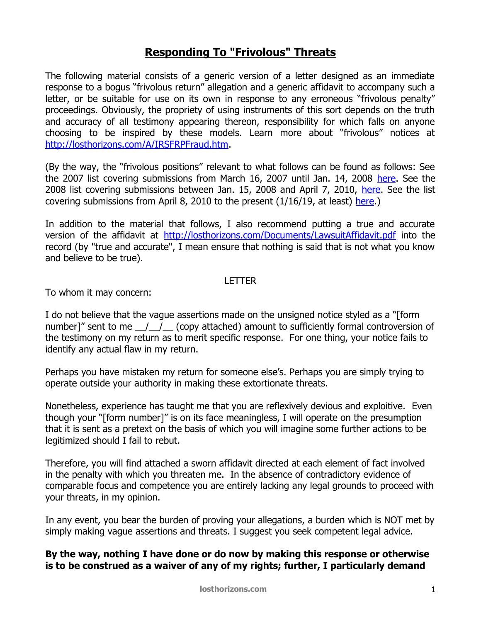## **Responding To "Frivolous" Threats**

The following material consists of a generic version of a letter designed as an immediate response to a bogus "frivolous return" allegation and a generic affidavit to accompany such a letter, or be suitable for use on its own in response to any erroneous "frivolous penalty" proceedings. Obviously, the propriety of using instruments of this sort depends on the truth and accuracy of all testimony appearing thereon, responsibility for which falls on anyone choosing to be inspired by these models. Learn more about "frivolous" notices at [http://losthorizons.com/A/IRSFRPFraud.htm.](http://losthorizons.com/A/IRSFRPFraud.htm)

(By the way, the "frivolous positions" relevant to what follows can be found as follows: See the 2007 list covering submissions from March 16, 2007 until Jan. 14, 2008 [here.](http://losthorizons.com/tax/2007FrivolousPositions.pdf) See the 2008 list covering submissions between Jan. 15, 2008 and April 7, 2010, [here.](http://losthorizons.com/tax/2008FrivolousPositions.pdf) See the list covering submissions from April 8, 2010 to the present (1/16/19, at least) [here.](http://losthorizons.com/tax/2010FrivolousPositions.pdf))

In addition to the material that follows, I also recommend putting a true and accurate version of the affidavit at<http://losthorizons.com/Documents/LawsuitAffidavit.pdf>into the record (by "true and accurate", I mean ensure that nothing is said that is not what you know and believe to be true).

## LETTER

To whom it may concern:

I do not believe that the vague assertions made on the unsigned notice styled as a "[form number]" sent to me  $\left(\begin{array}{cc} 1 & \end{array}\right)$  (copy attached) amount to sufficiently formal controversion of the testimony on my return as to merit specific response. For one thing, your notice fails to identify any actual flaw in my return.

Perhaps you have mistaken my return for someone else's. Perhaps you are simply trying to operate outside your authority in making these extortionate threats.

Nonetheless, experience has taught me that you are reflexively devious and exploitive. Even though your "[form number]" is on its face meaningless, I will operate on the presumption that it is sent as a pretext on the basis of which you will imagine some further actions to be legitimized should I fail to rebut.

Therefore, you will find attached a sworn affidavit directed at each element of fact involved in the penalty with which you threaten me. In the absence of contradictory evidence of comparable focus and competence you are entirely lacking any legal grounds to proceed with your threats, in my opinion.

In any event, you bear the burden of proving your allegations, a burden which is NOT met by simply making vague assertions and threats. I suggest you seek competent legal advice.

**By the way, nothing I have done or do now by making this response or otherwise is to be construed as a waiver of any of my rights; further, I particularly demand**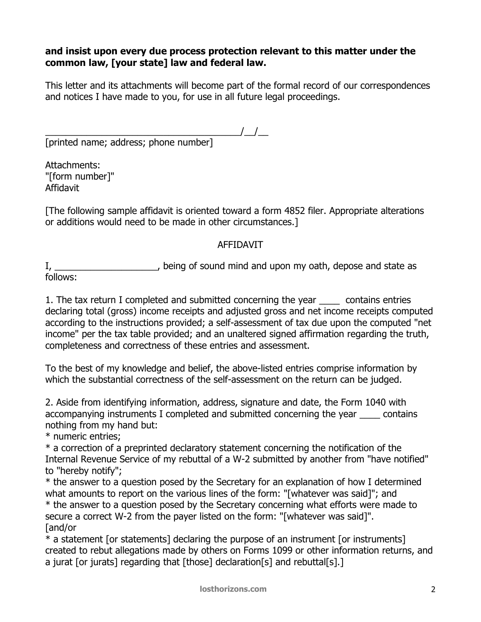## **and insist upon every due process protection relevant to this matter under the common law, [your state] law and federal law.**

This letter and its attachments will become part of the formal record of our correspondences and notices I have made to you, for use in all future legal proceedings.

\_\_\_\_\_\_\_\_\_\_\_\_\_\_\_\_\_\_\_\_\_\_\_\_\_\_\_\_\_\_\_\_\_\_\_\_\_\_/\_\_/\_\_ [printed name; address; phone number]

Attachments: "[form number]" Affidavit

[The following sample affidavit is oriented toward a form 4852 filer. Appropriate alterations or additions would need to be made in other circumstances.]

## AFFIDAVIT

I, \_\_\_\_\_\_\_\_\_\_\_\_\_\_\_\_\_\_\_\_\_, being of sound mind and upon my oath, depose and state as follows:

1. The tax return I completed and submitted concerning the year \_\_\_\_ contains entries declaring total (gross) income receipts and adjusted gross and net income receipts computed according to the instructions provided; a self-assessment of tax due upon the computed "net income" per the tax table provided; and an unaltered signed affirmation regarding the truth, completeness and correctness of these entries and assessment.

To the best of my knowledge and belief, the above-listed entries comprise information by which the substantial correctness of the self-assessment on the return can be judged.

2. Aside from identifying information, address, signature and date, the Form 1040 with accompanying instruments I completed and submitted concerning the year econtains nothing from my hand but:

\* numeric entries;

\* a correction of a preprinted declaratory statement concerning the notification of the Internal Revenue Service of my rebuttal of a W-2 submitted by another from "have notified" to "hereby notify";

\* the answer to a question posed by the Secretary for an explanation of how I determined what amounts to report on the various lines of the form: "[whatever was said]"; and

\* the answer to a question posed by the Secretary concerning what efforts were made to secure a correct W-2 from the payer listed on the form: "[whatever was said]". [and/or

\* a statement [or statements] declaring the purpose of an instrument [or instruments] created to rebut allegations made by others on Forms 1099 or other information returns, and a jurat [or jurats] regarding that [those] declaration[s] and rebuttal[s].]